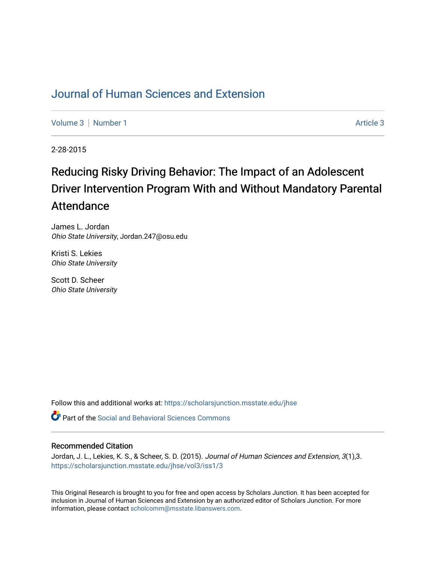## [Journal of Human Sciences and Extension](https://scholarsjunction.msstate.edu/jhse)

[Volume 3](https://scholarsjunction.msstate.edu/jhse/vol3) | [Number 1](https://scholarsjunction.msstate.edu/jhse/vol3/iss1) Article 3

2-28-2015

# Reducing Risky Driving Behavior: The Impact of an Adolescent Driver Intervention Program With and Without Mandatory Parental Attendance

James L. Jordan Ohio State University, Jordan.247@osu.edu

Kristi S. Lekies Ohio State University

Scott D. Scheer Ohio State University

Follow this and additional works at: [https://scholarsjunction.msstate.edu/jhse](https://scholarsjunction.msstate.edu/jhse?utm_source=scholarsjunction.msstate.edu%2Fjhse%2Fvol3%2Fiss1%2F3&utm_medium=PDF&utm_campaign=PDFCoverPages)

**C** Part of the Social and Behavioral Sciences Commons

#### Recommended Citation

Jordan, J. L., Lekies, K. S., & Scheer, S. D. (2015). Journal of Human Sciences and Extension, 3(1),3. [https://scholarsjunction.msstate.edu/jhse/vol3/iss1/3](https://scholarsjunction.msstate.edu/jhse/vol3/iss1/3?utm_source=scholarsjunction.msstate.edu%2Fjhse%2Fvol3%2Fiss1%2F3&utm_medium=PDF&utm_campaign=PDFCoverPages)

This Original Research is brought to you for free and open access by Scholars Junction. It has been accepted for inclusion in Journal of Human Sciences and Extension by an authorized editor of Scholars Junction. For more information, please contact [scholcomm@msstate.libanswers.com](mailto:scholcomm@msstate.libanswers.com).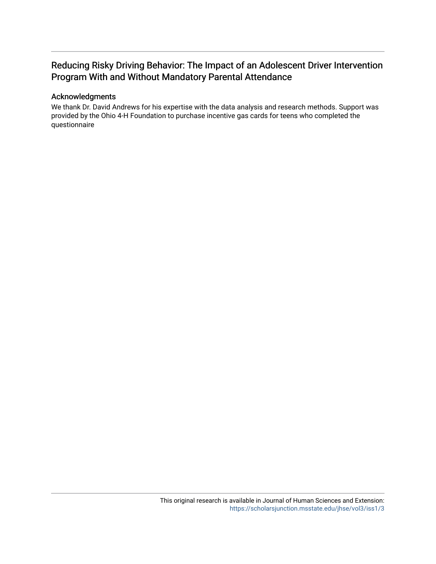## Reducing Risky Driving Behavior: The Impact of an Adolescent Driver Intervention Program With and Without Mandatory Parental Attendance

#### Acknowledgments

We thank Dr. David Andrews for his expertise with the data analysis and research methods. Support was provided by the Ohio 4-H Foundation to purchase incentive gas cards for teens who completed the questionnaire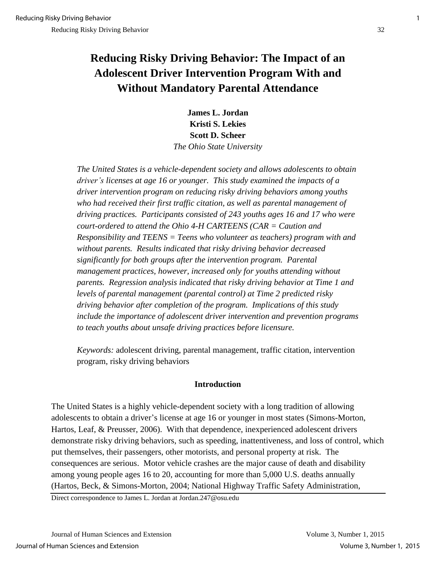## **Reducing Risky Driving Behavior: The Impact of an Adolescent Driver Intervention Program With and Without Mandatory Parental Attendance**

**James L. Jordan Kristi S. Lekies Scott D. Scheer**  *The Ohio State University* 

*The United States is a vehicle-dependent society and allows adolescents to obtain driver's licenses at age 16 or younger. This study examined the impacts of a driver intervention program on reducing risky driving behaviors among youths*  who had received their first traffic citation, as well as parental management of *driving practices. Participants consisted of 243 youths ages 16 and 17 who were court-ordered to attend the Ohio 4-H CARTEENS (CAR = Caution and Responsibility and TEENS = Teens who volunteer as teachers) program with and without parents. Results indicated that risky driving behavior decreased significantly for both groups after the intervention program. Parental management practices, however, increased only for youths attending without parents. Regression analysis indicated that risky driving behavior at Time 1 and levels of parental management (parental control) at Time 2 predicted risky driving behavior after completion of the program. Implications of this study include the importance of adolescent driver intervention and prevention programs to teach youths about unsafe driving practices before licensure.* 

*Keywords:* adolescent driving, parental management, traffic citation, intervention program, risky driving behaviors

#### **Introduction**

The United States is a highly vehicle-dependent society with a long tradition of allowing adolescents to obtain a driver's license at age 16 or younger in most states (Simons-Morton, Hartos, Leaf, & Preusser, 2006). With that dependence, inexperienced adolescent drivers demonstrate risky driving behaviors, such as speeding, inattentiveness, and loss of control, which put themselves, their passengers, other motorists, and personal property at risk. The consequences are serious. Motor vehicle crashes are the major cause of death and disability among young people ages 16 to 20, accounting for more than 5,000 U.S. deaths annually (Hartos, Beck, & Simons-Morton, 2004; National Highway Traffic Safety Administration,

Direct correspondence to James L. Jordan at Jordan.247@osu.edu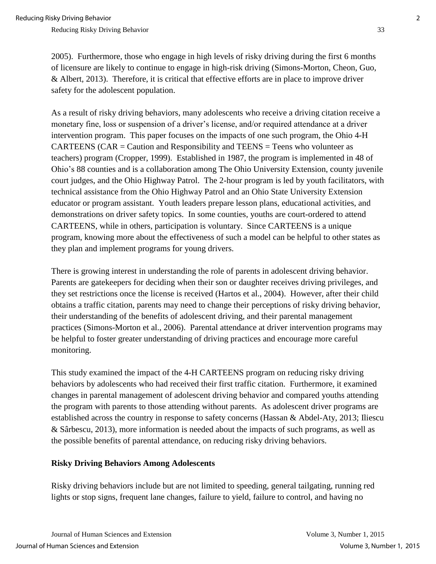2005). Furthermore, those who engage in high levels of risky driving during the first 6 months of licensure are likely to continue to engage in high-risk driving (Simons-Morton, Cheon, Guo, & Albert, 2013). Therefore, it is critical that effective efforts are in place to improve driver safety for the adolescent population.

As a result of risky driving behaviors, many adolescents who receive a driving citation receive a monetary fine, loss or suspension of a driver's license, and/or required attendance at a driver intervention program. This paper focuses on the impacts of one such program, the Ohio 4-H CARTEENS (CAR = Caution and Responsibility and TEENS = Teens who volunteer as teachers) program (Cropper, 1999). Established in 1987, the program is implemented in 48 of Ohio's 88 counties and is a collaboration among The Ohio University Extension, county juvenile court judges, and the Ohio Highway Patrol. The 2-hour program is led by youth facilitators, with technical assistance from the Ohio Highway Patrol and an Ohio State University Extension educator or program assistant. Youth leaders prepare lesson plans, educational activities, and demonstrations on driver safety topics. In some counties, youths are court-ordered to attend CARTEENS, while in others, participation is voluntary. Since CARTEENS is a unique program, knowing more about the effectiveness of such a model can be helpful to other states as they plan and implement programs for young drivers.

There is growing interest in understanding the role of parents in adolescent driving behavior. Parents are gatekeepers for deciding when their son or daughter receives driving privileges, and they set restrictions once the license is received (Hartos et al., 2004). However, after their child obtains a traffic citation, parents may need to change their perceptions of risky driving behavior, their understanding of the benefits of adolescent driving, and their parental management practices (Simons-Morton et al., 2006). Parental attendance at driver intervention programs may be helpful to foster greater understanding of driving practices and encourage more careful monitoring.

This study examined the impact of the 4-H CARTEENS program on reducing risky driving behaviors by adolescents who had received their first traffic citation. Furthermore, it examined changes in parental management of adolescent driving behavior and compared youths attending the program with parents to those attending without parents. As adolescent driver programs are established across the country in response to safety concerns (Hassan & Abdel-Aty, 2013; Iliescu & Sârbescu, 2013), more information is needed about the impacts of such programs, as well as the possible benefits of parental attendance, on reducing risky driving behaviors.

#### **Risky Driving Behaviors Among Adolescents**

Risky driving behaviors include but are not limited to speeding, general tailgating, running red lights or stop signs, frequent lane changes, failure to yield, failure to control, and having no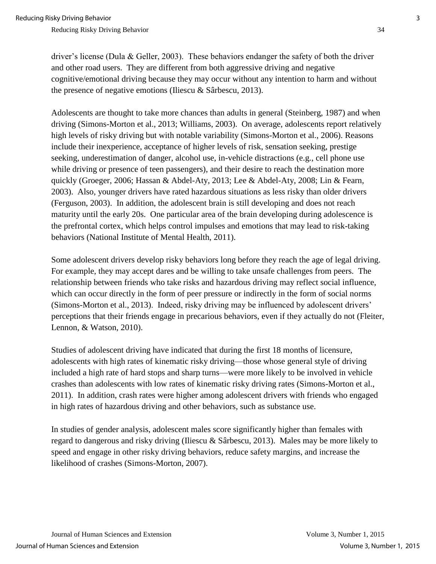driver's license (Dula & Geller, 2003). These behaviors endanger the safety of both the driver and other road users. They are different from both aggressive driving and negative cognitive/emotional driving because they may occur without any intention to harm and without the presence of negative emotions (Iliescu & Sârbescu, 2013).

Adolescents are thought to take more chances than adults in general (Steinberg, 1987) and when driving (Simons-Morton et al., 2013; Williams, 2003). On average, adolescents report relatively high levels of risky driving but with notable variability (Simons-Morton et al., 2006). Reasons include their inexperience, acceptance of higher levels of risk, sensation seeking, prestige seeking, underestimation of danger, alcohol use, in-vehicle distractions (e.g., cell phone use while driving or presence of teen passengers), and their desire to reach the destination more quickly (Groeger, 2006; Hassan & Abdel-Aty, 2013; Lee & Abdel-Aty, 2008; Lin & Fearn, 2003). Also, younger drivers have rated hazardous situations as less risky than older drivers (Ferguson, 2003). In addition, the adolescent brain is still developing and does not reach maturity until the early 20s. One particular area of the brain developing during adolescence is the prefrontal cortex, which helps control impulses and emotions that may lead to risk-taking behaviors (National Institute of Mental Health, 2011).

Some adolescent drivers develop risky behaviors long before they reach the age of legal driving. For example, they may accept dares and be willing to take unsafe challenges from peers. The relationship between friends who take risks and hazardous driving may reflect social influence, which can occur directly in the form of peer pressure or indirectly in the form of social norms (Simons-Morton et al., 2013). Indeed, risky driving may be influenced by adolescent drivers' perceptions that their friends engage in precarious behaviors, even if they actually do not (Fleiter, Lennon, & Watson, 2010).

Studies of adolescent driving have indicated that during the first 18 months of licensure, adolescents with high rates of kinematic risky driving—those whose general style of driving included a high rate of hard stops and sharp turns—were more likely to be involved in vehicle crashes than adolescents with low rates of kinematic risky driving rates (Simons-Morton et al., 2011). In addition, crash rates were higher among adolescent drivers with friends who engaged in high rates of hazardous driving and other behaviors, such as substance use.

In studies of gender analysis, adolescent males score significantly higher than females with regard to dangerous and risky driving (Iliescu & Sârbescu, 2013). Males may be more likely to speed and engage in other risky driving behaviors, reduce safety margins, and increase the likelihood of crashes (Simons-Morton, 2007).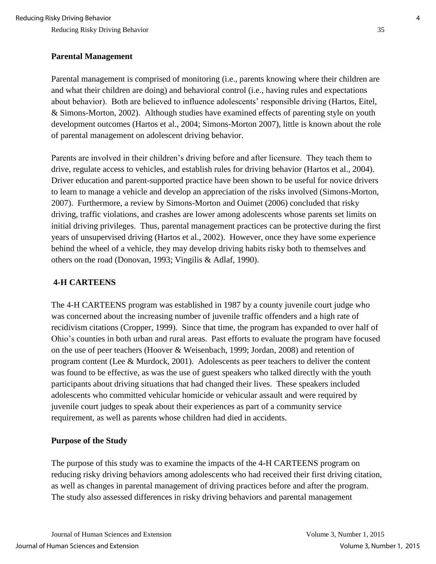#### **Parental Management**

Parental management is comprised of monitoring (i.e., parents knowing where their children are and what their children are doing) and behavioral control (i.e., having rules and expectations about behavior). Both are believed to influence adolescents' responsible driving (Hartos, Eitel, & Simons-Morton, 2002). Although studies have examined effects of parenting style on youth development outcomes (Hartos et al., 2004; Simons-Morton 2007), little is known about the role of parental management on adolescent driving behavior.

Parents are involved in their children's driving before and after licensure. They teach them to drive, regulate access to vehicles, and establish rules for driving behavior (Hartos et al., 2004). Driver education and parent-supported practice have been shown to be useful for novice drivers to learn to manage a vehicle and develop an appreciation of the risks involved (Simons-Morton, 2007). Furthermore, a review by Simons-Morton and Ouimet (2006) concluded that risky driving, traffic violations, and crashes are lower among adolescents whose parents set limits on initial driving privileges. Thus, parental management practices can be protective during the first years of unsupervised driving (Hartos et al., 2002). However, once they have some experience behind the wheel of a vehicle, they may develop driving habits risky both to themselves and others on the road (Donovan, 1993; Vingilis & Adlaf, 1990).

## **4-H CARTEENS**

The 4-H CARTEENS program was established in 1987 by a county juvenile court judge who was concerned about the increasing number of juvenile traffic offenders and a high rate of recidivism citations (Cropper, 1999). Since that time, the program has expanded to over half of Ohio's counties in both urban and rural areas. Past efforts to evaluate the program have focused on the use of peer teachers (Hoover & Weisenbach, 1999; Jordan, 2008) and retention of program content (Lee & Murdock, 2001). Adolescents as peer teachers to deliver the content was found to be effective, as was the use of guest speakers who talked directly with the youth participants about driving situations that had changed their lives. These speakers included adolescents who committed vehicular homicide or vehicular assault and were required by juvenile court judges to speak about their experiences as part of a community service requirement, as well as parents whose children had died in accidents.

#### **Purpose of the Study**

The purpose of this study was to examine the impacts of the 4-H CARTEENS program on reducing risky driving behaviors among adolescents who had received their first driving citation, as well as changes in parental management of driving practices before and after the program. The study also assessed differences in risky driving behaviors and parental management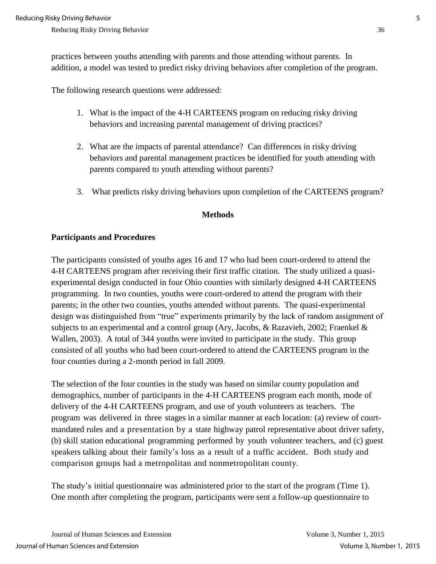practices between youths attending with parents and those attending without parents. In addition, a model was tested to predict risky driving behaviors after completion of the program.

The following research questions were addressed:

- 1. What is the impact of the 4-H CARTEENS program on reducing risky driving behaviors and increasing parental management of driving practices?
- 2. What are the impacts of parental attendance? Can differences in risky driving behaviors and parental management practices be identified for youth attending with parents compared to youth attending without parents?
- 3. What predicts risky driving behaviors upon completion of the CARTEENS program?

#### **Methods**

#### **Participants and Procedures**

The participants consisted of youths ages 16 and 17 who had been court-ordered to attend the 4-H CARTEENS program after receiving their first traffic citation. The study utilized a quasiexperimental design conducted in four Ohio counties with similarly designed 4-H CARTEENS programming. In two counties, youths were court-ordered to attend the program with their parents; in the other two counties, youths attended without parents. The quasi-experimental design was distinguished from "true" experiments primarily by the lack of random assignment of subjects to an experimental and a control group (Ary, Jacobs, & Razavieh, 2002; Fraenkel & Wallen, 2003). A total of 344 youths were invited to participate in the study. This group consisted of all youths who had been court-ordered to attend the CARTEENS program in the four counties during a 2-month period in fall 2009.

The selection of the four counties in the study was based on similar county population and demographics, number of participants in the 4-H CARTEENS program each month, mode of delivery of the 4-H CARTEENS program, and use of youth volunteers as teachers. The program was delivered in three stages in a similar manner at each location: (a) review of courtmandated rules and a presentation by a state highway patrol representative about driver safety, (b) skill station educational programming performed by youth volunteer teachers, and (c) guest speakers talking about their family's loss as a result of a traffic accident. Both study and comparison groups had a metropolitan and nonmetropolitan county.

The study's initial questionnaire was administered prior to the start of the program (Time 1). One month after completing the program, participants were sent a follow-up questionnaire to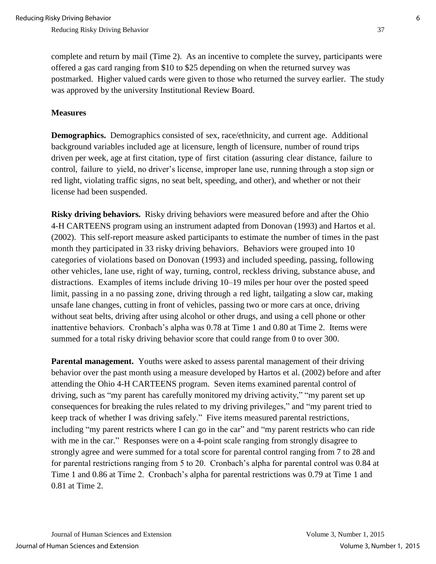complete and return by mail (Time 2). As an incentive to complete the survey, participants were offered a gas card ranging from \$10 to \$25 depending on when the returned survey was postmarked. Higher valued cards were given to those who returned the survey earlier. The study was approved by the university Institutional Review Board.

#### **Measures**

**Demographics.** Demographics consisted of sex, race/ethnicity, and current age. Additional background variables included age at licensure, length of licensure, number of round trips driven per week, age at first citation, type of first citation (assuring clear distance, failure to control, failure to yield, no driver's license, improper lane use, running through a stop sign or red light, violating traffic signs, no seat belt, speeding, and other), and whether or not their license had been suspended.

**Risky driving behaviors.**Risky driving behaviors were measured before and after the Ohio 4-H CARTEENS program using an instrument adapted from Donovan (1993) and Hartos et al. (2002). This self-report measure asked participants to estimate the number of times in the past month they participated in 33 risky driving behaviors. Behaviors were grouped into 10 categories of violations based on Donovan (1993) and included speeding, passing, following other vehicles, lane use, right of way, turning, control, reckless driving, substance abuse, and distractions. Examples of items include driving 10–19 miles per hour over the posted speed limit, passing in a no passing zone, driving through a red light, tailgating a slow car, making unsafe lane changes, cutting in front of vehicles, passing two or more cars at once, driving without seat belts, driving after using alcohol or other drugs, and using a cell phone or other inattentive behaviors. Cronbach's alpha was 0.78 at Time 1 and 0.80 at Time 2. Items were summed for a total risky driving behavior score that could range from 0 to over 300.

**Parental management.** Youths were asked to assess parental management of their driving behavior over the past month using a measure developed by Hartos et al. (2002) before and after attending the Ohio 4-H CARTEENS program. Seven items examined parental control of driving, such as "my parent has carefully monitored my driving activity," "my parent set up consequences for breaking the rules related to my driving privileges," and "my parent tried to keep track of whether I was driving safely." Five items measured parental restrictions, including "my parent restricts where I can go in the car" and "my parent restricts who can ride with me in the car." Responses were on a 4-point scale ranging from strongly disagree to strongly agree and were summed for a total score for parental control ranging from 7 to 28 and for parental restrictions ranging from 5 to 20. Cronbach's alpha for parental control was 0.84 at Time 1 and 0.86 at Time 2. Cronbach's alpha for parental restrictions was 0.79 at Time 1 and 0.81 at Time 2.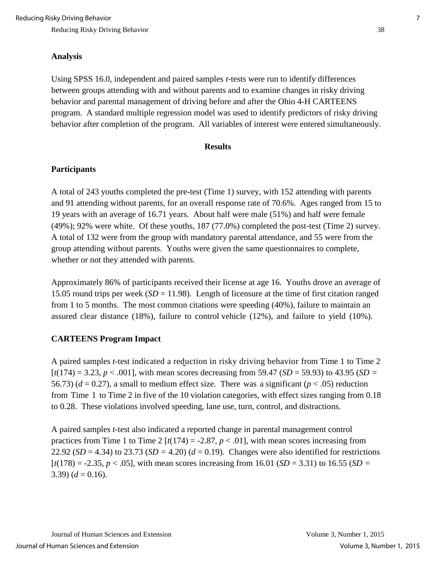#### **Analysis**

Using SPSS 16.0, independent and paired samples *t*-tests were run to identify differences between groups attending with and without parents and to examine changes in risky driving behavior and parental management of driving before and after the Ohio 4-H CARTEENS program. A standard multiple regression model was used to identify predictors of risky driving behavior after completion of the program. All variables of interest were entered simultaneously.

#### **Results**

#### **Participants**

A total of 243 youths completed the pre-test (Time 1) survey, with 152 attending with parents and 91 attending without parents, for an overall response rate of 70.6%. Ages ranged from 15 to 19 years with an average of 16.71 years. About half were male (51%) and half were female (49%); 92% were white. Of these youths, 187 (77.0%) completed the post-test (Time 2) survey. A total of 132 were from the group with mandatory parental attendance, and 55 were from the group attending without parents. Youths were given the same questionnaires to complete, whether or not they attended with parents.

Approximately 86% of participants received their license at age 16. Youths drove an average of 15.05 round trips per week (*SD* = 11.98). Length of licensure at the time of first citation ranged from 1 to 5 months. The most common citations were speeding (40%), failure to maintain an assured clear distance (18%), failure to control vehicle (12%), and failure to yield (10%).

#### **CARTEENS Program Impact**

A paired samples *t*-test indicated a reduction in risky driving behavior from Time 1 to Time 2  $[t(174) = 3.23, p < .001]$ , with mean scores decreasing from 59.47 (*SD* = 59.93) to 43.95 (*SD* = 56.73) ( $d = 0.27$ ), a small to medium effect size. There was a significant ( $p < .05$ ) reduction from Time 1 to Time 2 in five of the 10 violation categories, with effect sizes ranging from 0.18 to 0.28. These violations involved speeding, lane use, turn, control, and distractions.

A paired samples *t*-test also indicated a reported change in parental management control practices from Time 1 to Time 2  $[t(174) = -2.87, p < .01]$ , with mean scores increasing from 22.92 (*SD* = 4.34) to 23.73 (*SD* = 4.20) ( $d = 0.19$ ). Changes were also identified for restrictions  $[t(178) = -2.35, p < .05]$ , with mean scores increasing from 16.01 (*SD* = 3.31) to 16.55 (*SD* = 3.39)  $(d = 0.16)$ .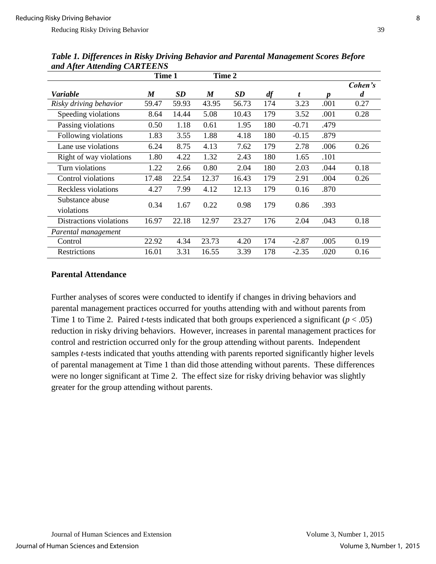|                               |                  | Time 1<br>Time 2 |                  |           |     |         |      |         |
|-------------------------------|------------------|------------------|------------------|-----------|-----|---------|------|---------|
|                               |                  |                  |                  |           |     |         |      | Cohen's |
| Variable                      | $\boldsymbol{M}$ | <b>SD</b>        | $\boldsymbol{M}$ | <b>SD</b> | df  | t       | n    | d       |
| Risky driving behavior        | 59.47            | 59.93            | 43.95            | 56.73     | 174 | 3.23    | .001 | 0.27    |
| Speeding violations           | 8.64             | 14.44            | 5.08             | 10.43     | 179 | 3.52    | .001 | 0.28    |
| Passing violations            | 0.50             | 1.18             | 0.61             | 1.95      | 180 | $-0.71$ | .479 |         |
| Following violations          | 1.83             | 3.55             | 1.88             | 4.18      | 180 | $-0.15$ | .879 |         |
| Lane use violations           | 6.24             | 8.75             | 4.13             | 7.62      | 179 | 2.78    | .006 | 0.26    |
| Right of way violations       | 1.80             | 4.22             | 1.32             | 2.43      | 180 | 1.65    | .101 |         |
| Turn violations               | 1.22             | 2.66             | 0.80             | 2.04      | 180 | 2.03    | .044 | 0.18    |
| Control violations            | 17.48            | 22.54            | 12.37            | 16.43     | 179 | 2.91    | .004 | 0.26    |
| Reckless violations           | 4.27             | 7.99             | 4.12             | 12.13     | 179 | 0.16    | .870 |         |
| Substance abuse<br>violations | 0.34             | 1.67             | 0.22             | 0.98      | 179 | 0.86    | .393 |         |
| Distractions violations       | 16.97            | 22.18            | 12.97            | 23.27     | 176 | 2.04    | .043 | 0.18    |
| Parental management           |                  |                  |                  |           |     |         |      |         |
| Control                       | 22.92            | 4.34             | 23.73            | 4.20      | 174 | $-2.87$ | .005 | 0.19    |
| <b>Restrictions</b>           | 16.01            | 3.31             | 16.55            | 3.39      | 178 | $-2.35$ | .020 | 0.16    |

*Table 1. Differences in Risky Driving Behavior and Parental Management Scores Before and After Attending CARTEENS*

## **Parental Attendance**

Further analyses of scores were conducted to identify if changes in driving behaviors and parental management practices occurred for youths attending with and without parents from Time 1 to Time 2. Paired *t-*tests indicated that both groups experienced a significant (*p* < .05) reduction in risky driving behaviors. However, increases in parental management practices for control and restriction occurred only for the group attending without parents. Independent samples *t*-tests indicated that youths attending with parents reported significantly higher levels of parental management at Time 1 than did those attending without parents. These differences were no longer significant at Time 2. The effect size for risky driving behavior was slightly greater for the group attending without parents.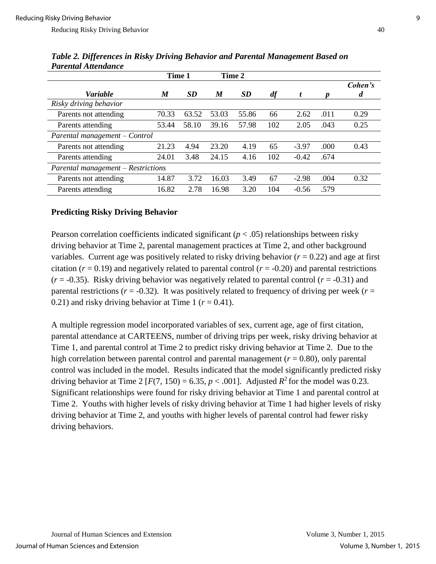|                                    | Time 1           |           | Time 2           |           |     |         |      |              |  |
|------------------------------------|------------------|-----------|------------------|-----------|-----|---------|------|--------------|--|
| <b>Variable</b>                    | $\boldsymbol{M}$ | <b>SD</b> | $\boldsymbol{M}$ | <b>SD</b> | df  |         |      | Cohen's<br>d |  |
| Risky driving behavior             |                  |           |                  |           |     |         |      |              |  |
| Parents not attending              | 70.33            | 63.52     | 53.03            | 55.86     | 66  | 2.62    | .011 | 0.29         |  |
| Parents attending                  | 53.44            | 58.10     | 39.16            | 57.98     | 102 | 2.05    | .043 | 0.25         |  |
| Parental management – Control      |                  |           |                  |           |     |         |      |              |  |
| Parents not attending              | 21.23            | 4.94      | 23.20            | 4.19      | 65  | $-3.97$ | .000 | 0.43         |  |
| Parents attending                  | 24.01            | 3.48      | 24.15            | 4.16      | 102 | $-0.42$ | .674 |              |  |
| Parental management – Restrictions |                  |           |                  |           |     |         |      |              |  |
| Parents not attending              | 14.87            | 3.72      | 16.03            | 3.49      | 67  | $-2.98$ | .004 | 0.32         |  |
| Parents attending                  | 16.82            | 2.78      | 16.98            | 3.20      | 104 | $-0.56$ | .579 |              |  |

*Table 2. Differences in Risky Driving Behavior and Parental Management Based on Parental Attendance*

### **Predicting Risky Driving Behavior**

Pearson correlation coefficients indicated significant ( $p < .05$ ) relationships between risky driving behavior at Time 2, parental management practices at Time 2, and other background variables. Current age was positively related to risky driving behavior  $(r = 0.22)$  and age at first citation ( $r = 0.19$ ) and negatively related to parental control ( $r = -0.20$ ) and parental restrictions  $(r = -0.35)$ . Risky driving behavior was negatively related to parental control  $(r = -0.31)$  and parental restrictions ( $r = -0.32$ ). It was positively related to frequency of driving per week ( $r =$ 0.21) and risky driving behavior at Time 1 ( $r = 0.41$ ).

A multiple regression model incorporated variables of sex, current age, age of first citation, parental attendance at CARTEENS, number of driving trips per week, risky driving behavior at Time 1, and parental control at Time 2 to predict risky driving behavior at Time 2. Due to the high correlation between parental control and parental management  $(r = 0.80)$ , only parental control was included in the model. Results indicated that the model significantly predicted risky driving behavior at Time 2 [ $F(7, 150) = 6.35, p < .001$ ]. Adjusted  $R^2$  for the model was 0.23. Significant relationships were found for risky driving behavior at Time 1 and parental control at Time 2. Youths with higher levels of risky driving behavior at Time 1 had higher levels of risky driving behavior at Time 2, and youths with higher levels of parental control had fewer risky driving behaviors.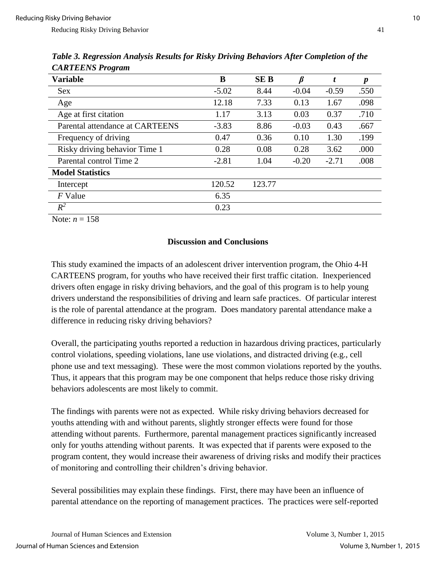| CALUEDIVDIVQ                    |         |            |         |         |                  |
|---------------------------------|---------|------------|---------|---------|------------------|
| <b>Variable</b>                 | B       | <b>SEB</b> |         | t       | $\boldsymbol{p}$ |
| <b>Sex</b>                      | $-5.02$ | 8.44       | $-0.04$ | $-0.59$ | .550             |
| Age                             | 12.18   | 7.33       | 0.13    | 1.67    | .098             |
| Age at first citation           | 1.17    | 3.13       | 0.03    | 0.37    | .710             |
| Parental attendance at CARTEENS | $-3.83$ | 8.86       | $-0.03$ | 0.43    | .667             |
| Frequency of driving            | 0.47    | 0.36       | 0.10    | 1.30    | .199             |
| Risky driving behavior Time 1   | 0.28    | 0.08       | 0.28    | 3.62    | .000             |
| Parental control Time 2         | $-2.81$ | 1.04       | $-0.20$ | $-2.71$ | .008             |
| <b>Model Statistics</b>         |         |            |         |         |                  |
| Intercept                       | 120.52  | 123.77     |         |         |                  |
| F Value                         | 6.35    |            |         |         |                  |
| $R^2$                           | 0.23    |            |         |         |                  |

*Table 3. Regression Analysis Results for Risky Driving Behaviors After Completion of the CARTEENS Program*

Note:  $n = 158$ 

## **Discussion and Conclusions**

This study examined the impacts of an adolescent driver intervention program, the Ohio 4-H CARTEENS program, for youths who have received their first traffic citation. Inexperienced drivers often engage in risky driving behaviors, and the goal of this program is to help young drivers understand the responsibilities of driving and learn safe practices. Of particular interest is the role of parental attendance at the program. Does mandatory parental attendance make a difference in reducing risky driving behaviors?

Overall, the participating youths reported a reduction in hazardous driving practices, particularly control violations, speeding violations, lane use violations, and distracted driving (e.g., cell phone use and text messaging). These were the most common violations reported by the youths. Thus, it appears that this program may be one component that helps reduce those risky driving behaviors adolescents are most likely to commit.

The findings with parents were not as expected. While risky driving behaviors decreased for youths attending with and without parents, slightly stronger effects were found for those attending without parents. Furthermore, parental management practices significantly increased only for youths attending without parents. It was expected that if parents were exposed to the program content, they would increase their awareness of driving risks and modify their practices of monitoring and controlling their children's driving behavior.

Several possibilities may explain these findings. First, there may have been an influence of parental attendance on the reporting of management practices. The practices were self-reported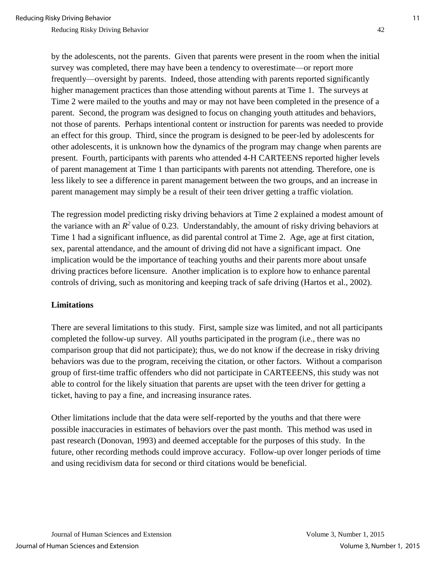by the adolescents, not the parents. Given that parents were present in the room when the initial survey was completed, there may have been a tendency to overestimate—or report more frequently—oversight by parents. Indeed, those attending with parents reported significantly higher management practices than those attending without parents at Time 1. The surveys at Time 2 were mailed to the youths and may or may not have been completed in the presence of a parent. Second, the program was designed to focus on changing youth attitudes and behaviors, not those of parents. Perhaps intentional content or instruction for parents was needed to provide an effect for this group. Third, since the program is designed to be peer-led by adolescents for other adolescents, it is unknown how the dynamics of the program may change when parents are present. Fourth, participants with parents who attended 4-H CARTEENS reported higher levels of parent management at Time 1 than participants with parents not attending. Therefore, one is less likely to see a difference in parent management between the two groups, and an increase in parent management may simply be a result of their teen driver getting a traffic violation.

The regression model predicting risky driving behaviors at Time 2 explained a modest amount of the variance with an  $R^2$  value of 0.23. Understandably, the amount of risky driving behaviors at Time 1 had a significant influence, as did parental control at Time 2. Age, age at first citation, sex, parental attendance, and the amount of driving did not have a significant impact. One implication would be the importance of teaching youths and their parents more about unsafe driving practices before licensure. Another implication is to explore how to enhance parental controls of driving, such as monitoring and keeping track of safe driving (Hartos et al., 2002).

#### **Limitations**

There are several limitations to this study. First, sample size was limited, and not all participants completed the follow-up survey. All youths participated in the program (i.e., there was no comparison group that did not participate); thus, we do not know if the decrease in risky driving behaviors was due to the program, receiving the citation, or other factors. Without a comparison group of first-time traffic offenders who did not participate in CARTEEENS, this study was not able to control for the likely situation that parents are upset with the teen driver for getting a ticket, having to pay a fine, and increasing insurance rates.

Other limitations include that the data were self-reported by the youths and that there were possible inaccuracies in estimates of behaviors over the past month. This method was used in past research (Donovan, 1993) and deemed acceptable for the purposes of this study. In the future, other recording methods could improve accuracy. Follow-up over longer periods of time and using recidivism data for second or third citations would be beneficial.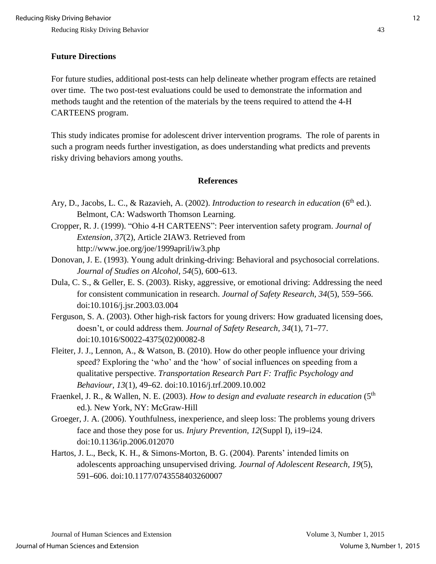#### **Future Directions**

For future studies, additional post-tests can help delineate whether program effects are retained over time. The two post-test evaluations could be used to demonstrate the information and methods taught and the retention of the materials by the teens required to attend the 4-H CARTEENS program.

This study indicates promise for adolescent driver intervention programs. The role of parents in such a program needs further investigation, as does understanding what predicts and prevents risky driving behaviors among youths.

#### **References**

- Ary, D., Jacobs, L. C., & Razavieh, A. (2002). *Introduction to research in education* (6<sup>th</sup> ed.). Belmont, CA: Wadsworth Thomson Learning.
- Cropper, R. J. (1999). "Ohio 4-H CARTEENS": Peer intervention safety program. *Journal of Extension, 37*(2), Article 2IAW3. Retrieved from http://www.joe.org/joe/1999april/iw3.php
- Donovan, J. E. (1993). Young adult drinking-driving: Behavioral and psychosocial correlations. *Journal of Studies on Alcohol, 54*(5), 600–613.
- Dula, C. S., & Geller, E. S. (2003). Risky, aggressive, or emotional driving: Addressing the need for consistent communication in research. *Journal of Safety Research, 34*(5), 559–566. doi:10.1016/j.jsr.2003.03.004
- Ferguson, S. A. (2003). Other high-risk factors for young drivers: How graduated licensing does, doesn't, or could address them. *Journal of Safety Research, 34*(1), 71–77. doi:10.1016/S0022-4375(02)00082-8
- Fleiter, J. J., Lennon, A., & Watson, B. (2010). How do other people influence your driving speed? Exploring the 'who' and the 'how' of social influences on speeding from a qualitative perspective. *Transportation Research Part F: Traffic Psychology and Behaviour, 13*(1)*,* 49–62. doi:10.1016/j.trf.2009.10.002
- Fraenkel, J. R., & Wallen, N. E. (2003). *How to design and evaluate research in education* (5th ed.). New York, NY: McGraw-Hill
- Groeger, J. A. (2006). Youthfulness, inexperience, and sleep loss: The problems young drivers face and those they pose for us. *Injury Prevention, 12*(Suppl I), i19–i24. doi:10.1136/ip.2006.012070
- Hartos, J. L., Beck, K. H., & Simons-Morton, B. G. (2004). Parents' intended limits on adolescents approaching unsupervised driving. *Journal of Adolescent Research, 19*(5), 591–606. doi:10.1177/0743558403260007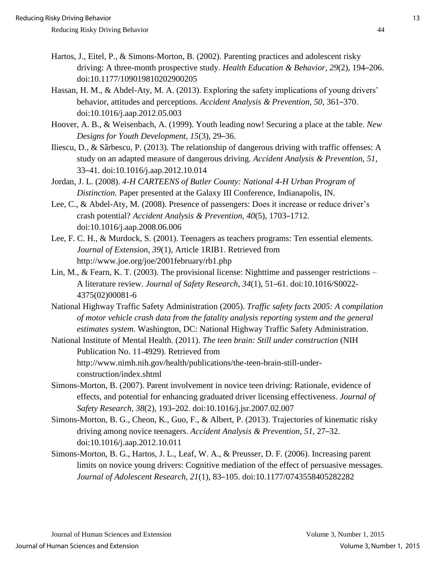Reducing Risky Driving Behavior **44** and the state of the state of the state of the state of the state of the state of the state of the state of the state of the state of the state of the state of the state of the state of

- Hartos, J., Eitel, P., & Simons-Morton, B. (2002). Parenting practices and adolescent risky driving: A three-month prospective study. *Health Education & Behavior, 29*(2), 194–206. doi:10.1177/109019810202900205
- Hassan, H. M., & Abdel-Aty, M. A. (2013). Exploring the safety implications of young drivers' behavior, attitudes and perceptions. *Accident Analysis & Prevention, 50,* 361–370. doi:10.1016/j.aap.2012.05.003
- Hoover, A. B., & Weisenbach, A. (1999). Youth leading now! Securing a place at the table. *New Designs for Youth Development, 15*(3), 29–36.
- Iliescu, D., & Sârbescu, P. (2013). The relationship of dangerous driving with traffic offenses: A study on an adapted measure of dangerous driving. *Accident Analysis & Prevention, 51*, 33–41. doi:10.1016/j.aap.2012.10.014
- Jordan, J. L. (2008). *4-H CARTEENS of Butler County: National 4-H Urban Program of Distinction.* Paper presented at the Galaxy III Conference, Indianapolis, IN.
- Lee, C., & Abdel-Aty, M. (2008). Presence of passengers: Does it increase or reduce driver's crash potential? *Accident Analysis & Prevention, 40*(5), 1703–1712. doi:10.1016/j.aap.2008.06.006
- Lee, F. C. H., & Murdock, S. (2001). Teenagers as teachers programs: Ten essential elements. *Journal of Extension, 39*(1), Article 1RIB1. Retrieved from http://www.joe.org/joe/2001february/rb1.php
- Lin, M., & Fearn, K. T. (2003). The provisional license: Nighttime and passenger restrictions A literature review. *Journal of Safety Research, 34*(1), 51–61. doi:10.1016/S0022- 4375(02)00081-6
- National Highway Traffic Safety Administration (2005). *Traffic safety facts 2005: A compilation of motor vehicle crash data from the fatality analysis reporting system and the general estimates system.* Washington, DC: National Highway Traffic Safety Administration.

National Institute of Mental Health. (2011). *The teen brain: Still under construction* (NIH Publication No. 11-4929). Retrieved from http://www.nimh.nih.gov/health/publications/the-teen-brain-still-underconstruction/index.shtml

- Simons-Morton, B. (2007). Parent involvement in novice teen driving: Rationale, evidence of effects, and potential for enhancing graduated driver licensing effectiveness. *Journal of Safety Research, 38*(2)*,* 193–202. doi:10.1016/j.jsr.2007.02.007
- Simons-Morton, B. G., Cheon, K., Guo, F., & Albert, P. (2013). Trajectories of kinematic risky driving among novice teenagers. *Accident Analysis & Prevention, 51,* 27–32. doi:10.1016/j.aap.2012.10.011
- Simons-Morton, B. G., Hartos, J. L., Leaf, W. A., & Preusser, D. F. (2006). Increasing parent limits on novice young drivers: Cognitive mediation of the effect of persuasive messages. *Journal of Adolescent Research, 21*(1), 83–105. doi:10.1177/0743558405282282